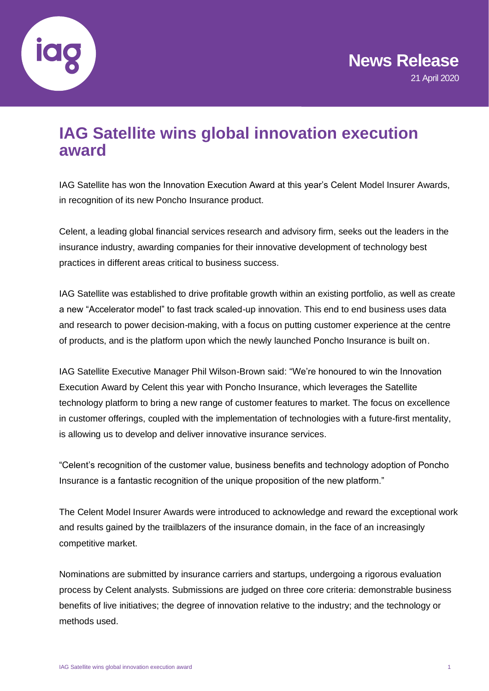

# **IAG Satellite wins global innovation execution award**

IAG Satellite has won the Innovation Execution Award at this year's Celent Model Insurer Awards, in recognition of its new Poncho Insurance product.

Celent, a leading global financial services research and advisory firm, seeks out the leaders in the insurance industry, awarding companies for their innovative development of technology best practices in different areas critical to business success.

IAG Satellite was established to drive profitable growth within an existing portfolio, as well as create a new "Accelerator model" to fast track scaled-up innovation. This end to end business uses data and research to power decision-making, with a focus on putting customer experience at the centre of products, and is the platform upon which the newly launched Poncho Insurance is built on.

IAG Satellite Executive Manager Phil Wilson-Brown said: "We're honoured to win the Innovation Execution Award by Celent this year with Poncho Insurance, which leverages the Satellite technology platform to bring a new range of customer features to market. The focus on excellence in customer offerings, coupled with the implementation of technologies with a future-first mentality, is allowing us to develop and deliver innovative insurance services.

"Celent's recognition of the customer value, business benefits and technology adoption of Poncho Insurance is a fantastic recognition of the unique proposition of the new platform."

The Celent Model Insurer Awards were introduced to acknowledge and reward the exceptional work and results gained by the trailblazers of the insurance domain, in the face of an increasingly competitive market.

Nominations are submitted by insurance carriers and startups, undergoing a rigorous evaluation process by Celent analysts. Submissions are judged on three core criteria: demonstrable business benefits of live initiatives; the degree of innovation relative to the industry; and the technology or methods used.